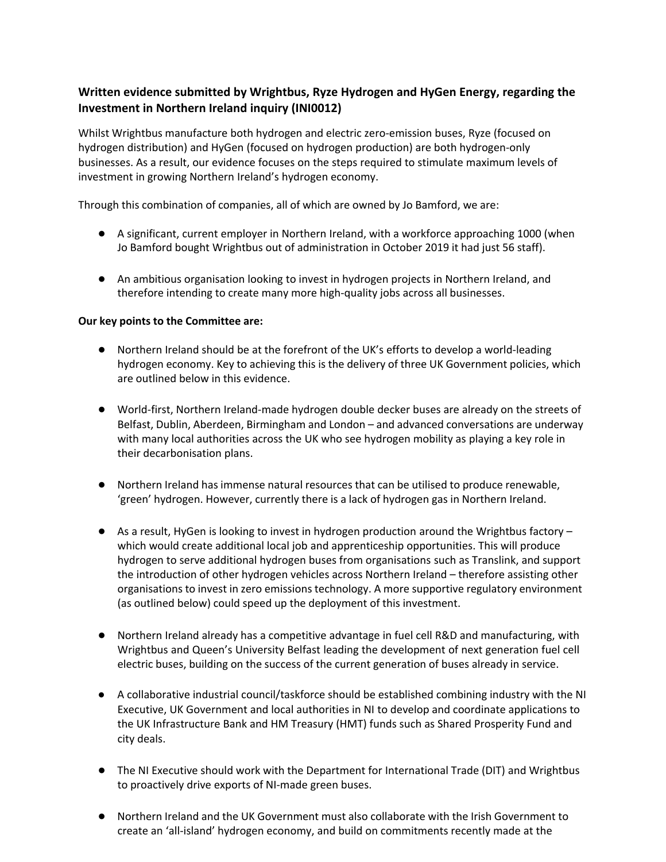# **Written evidence submitted by Wrightbus, Ryze Hydrogen and HyGen Energy, regarding the Investment in Northern Ireland inquiry (INI0012)**

Whilst Wrightbus manufacture both hydrogen and electric zero-emission buses, Ryze (focused on hydrogen distribution) and HyGen (focused on hydrogen production) are both hydrogen-only businesses. As a result, our evidence focuses on the steps required to stimulate maximum levels of investment in growing Northern Ireland's hydrogen economy.

Through this combination of companies, all of which are owned by Jo Bamford, we are:

- A significant, current employer in Northern Ireland, with a workforce approaching 1000 (when Jo Bamford bought Wrightbus out of administration in October 2019 it had just 56 staff).
- An ambitious organisation looking to invest in hydrogen projects in Northern Ireland, and therefore intending to create many more high-quality jobs across all businesses.

### **Our key points to the Committee are:**

- Northern Ireland should be at the forefront of the UK's efforts to develop a world-leading hydrogen economy. Key to achieving this is the delivery of three UK Government policies, which are outlined below in this evidence.
- World-first, Northern Ireland-made hydrogen double decker buses are already on the streets of Belfast, Dublin, Aberdeen, Birmingham and London – and advanced conversations are underway with many local authorities across the UK who see hydrogen mobility as playing a key role in their decarbonisation plans.
- Northern Ireland has immense natural resources that can be utilised to produce renewable, 'green' hydrogen. However, currently there is a lack of hydrogen gas in Northern Ireland.
- As a result, HyGen is looking to invest in hydrogen production around the Wrightbus factory which would create additional local job and apprenticeship opportunities. This will produce hydrogen to serve additional hydrogen buses from organisations such as Translink, and support the introduction of other hydrogen vehicles across Northern Ireland – therefore assisting other organisations to invest in zero emissions technology. A more supportive regulatory environment (as outlined below) could speed up the deployment of this investment.
- Northern Ireland already has a competitive advantage in fuel cell R&D and manufacturing, with Wrightbus and Queen's University Belfast leading the development of next generation fuel cell electric buses, building on the success of the current generation of buses already in service.
- A collaborative industrial council/taskforce should be established combining industry with the NI Executive, UK Government and local authorities in NI to develop and coordinate applications to the UK Infrastructure Bank and HM Treasury (HMT) funds such as Shared Prosperity Fund and city deals.
- The NI Executive should work with the Department for International Trade (DIT) and Wrightbus to proactively drive exports of NI-made green buses.
- Northern Ireland and the UK Government must also collaborate with the Irish Government to create an 'all-island' hydrogen economy, and build on commitments recently made at the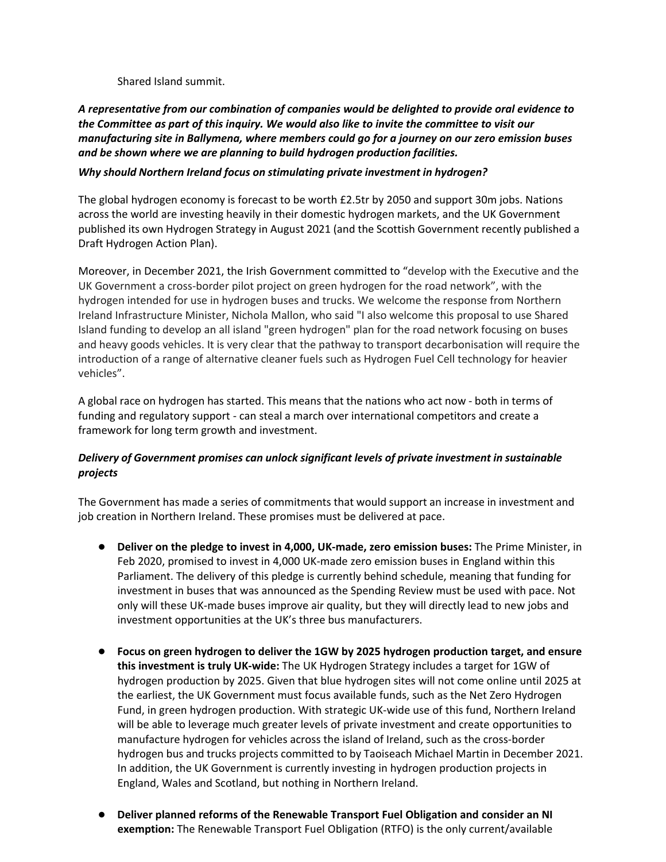Shared Island summit.

*A representative from our combination of companies would be delighted to provide oral evidence to the Committee as part of this inquiry. We would also like to invite the committee to visit our manufacturing site in Ballymena, where members could go for a journey on our zero emission buses and be shown where we are planning to build hydrogen production facilities.*

### *Why should Northern Ireland focus on stimulating private investment in hydrogen?*

The global hydrogen economy is forecast to be worth £2.5tr by 2050 and support 30m jobs. Nations across the world are investing heavily in their domestic hydrogen markets, and the UK Government published its own Hydrogen Strategy in August 2021 (and the Scottish Government recently published a Draft Hydrogen Action Plan).

Moreover, in December 2021, the Irish Government committed to "develop with the Executive and the UK Government a cross-border pilot project on green hydrogen for the road network", with the hydrogen intended for use in hydrogen buses and trucks. We welcome the response from Northern Ireland Infrastructure Minister, Nichola Mallon, who said "I also welcome this proposal to use Shared Island funding to develop an all island "green hydrogen" plan for the road network focusing on buses and heavy goods vehicles. It is very clear that the pathway to transport decarbonisation will require the introduction of a range of alternative cleaner fuels such as Hydrogen Fuel Cell technology for heavier vehicles".

A global race on hydrogen has started. This means that the nations who act now - both in terms of funding and regulatory support - can steal a march over international competitors and create a framework for long term growth and investment.

## *Delivery of Government promises can unlock significant levels of private investment in sustainable projects*

The Government has made a series of commitments that would support an increase in investment and job creation in Northern Ireland. These promises must be delivered at pace.

- **Deliver on the pledge to invest in 4,000, UK-made, zero emission buses:** The Prime Minister, in Feb 2020, promised to invest in 4,000 UK-made zero emission buses in England within this Parliament. The delivery of this pledge is currently behind schedule, meaning that funding for investment in buses that was announced as the Spending Review must be used with pace. Not only will these UK-made buses improve air quality, but they will directly lead to new jobs and investment opportunities at the UK's three bus manufacturers.
- **Focus on green hydrogen to deliver the 1GW by 2025 hydrogen production target, and ensure this investment is truly UK-wide:** The UK Hydrogen Strategy includes a target for 1GW of hydrogen production by 2025. Given that blue hydrogen sites will not come online until 2025 at the earliest, the UK Government must focus available funds, such as the Net Zero Hydrogen Fund, in green hydrogen production. With strategic UK-wide use of this fund, Northern Ireland will be able to leverage much greater levels of private investment and create opportunities to manufacture hydrogen for vehicles across the island of Ireland, such as the cross-border hydrogen bus and trucks projects committed to by Taoiseach Michael Martin in December 2021. In addition, the UK Government is currently investing in hydrogen production projects in England, Wales and Scotland, but nothing in Northern Ireland.
- **Deliver planned reforms of the Renewable Transport Fuel Obligation and consider an NI exemption:** The Renewable Transport Fuel Obligation (RTFO) is the only current/available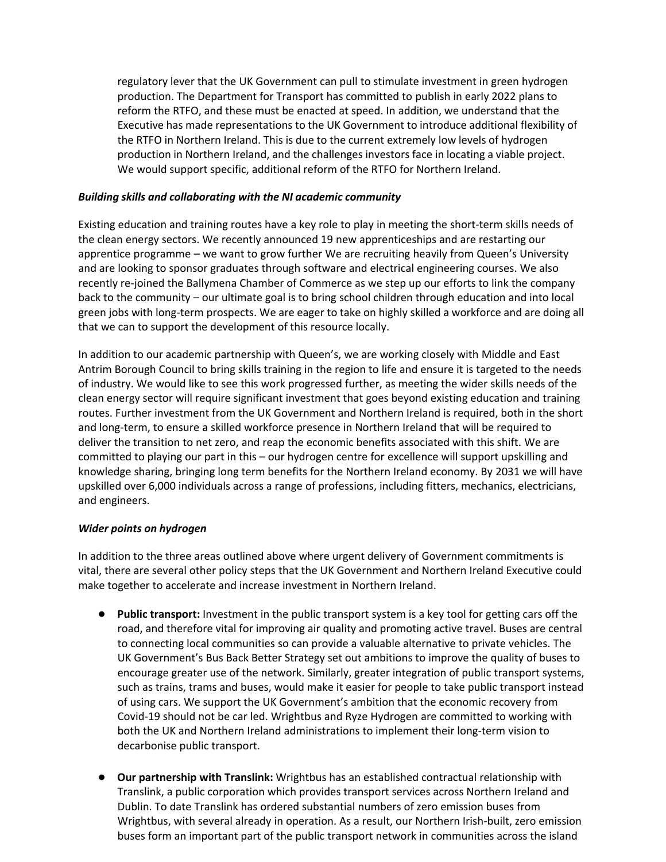regulatory lever that the UK Government can pull to stimulate investment in green hydrogen production. The Department for Transport has committed to publish in early 2022 plans to reform the RTFO, and these must be enacted at speed. In addition, we understand that the Executive has made representations to the UK Government to introduce additional flexibility of the RTFO in Northern Ireland. This is due to the current extremely low levels of hydrogen production in Northern Ireland, and the challenges investors face in locating a viable project. We would support specific, additional reform of the RTFO for Northern Ireland.

#### *Building skills and collaborating with the NI academic community*

Existing education and training routes have a key role to play in meeting the short-term skills needs of the clean energy sectors. We recently announced 19 new apprenticeships and are restarting our apprentice programme – we want to grow further We are recruiting heavily from Queen's University and are looking to sponsor graduates through software and electrical engineering courses. We also recently re-joined the Ballymena Chamber of Commerce as we step up our efforts to link the company back to the community – our ultimate goal is to bring school children through education and into local green jobs with long-term prospects. We are eager to take on highly skilled a workforce and are doing all that we can to support the development of this resource locally.

In addition to our academic partnership with Queen's, we are working closely with Middle and East Antrim Borough Council to bring skills training in the region to life and ensure it is targeted to the needs of industry. We would like to see this work progressed further, as meeting the wider skills needs of the clean energy sector will require significant investment that goes beyond existing education and training routes. Further investment from the UK Government and Northern Ireland is required, both in the short and long-term, to ensure a skilled workforce presence in Northern Ireland that will be required to deliver the transition to net zero, and reap the economic benefits associated with this shift. We are committed to playing our part in this – our hydrogen centre for excellence will support upskilling and knowledge sharing, bringing long term benefits for the Northern Ireland economy. By 2031 we will have upskilled over 6,000 individuals across a range of professions, including fitters, mechanics, electricians, and engineers.

#### *Wider points on hydrogen*

In addition to the three areas outlined above where urgent delivery of Government commitments is vital, there are several other policy steps that the UK Government and Northern Ireland Executive could make together to accelerate and increase investment in Northern Ireland.

- **Public transport:** Investment in the public transport system is a key tool for getting cars off the road, and therefore vital for improving air quality and promoting active travel. Buses are central to connecting local communities so can provide a valuable alternative to private vehicles. The UK Government's Bus Back Better Strategy set out ambitions to improve the quality of buses to encourage greater use of the network. Similarly, greater integration of public transport systems, such as trains, trams and buses, would make it easier for people to take public transport instead of using cars. We support the UK Government's ambition that the economic recovery from Covid-19 should not be car led. Wrightbus and Ryze Hydrogen are committed to working with both the UK and Northern Ireland administrations to implement their long-term vision to decarbonise public transport.
- **Our partnership with Translink:** Wrightbus has an established contractual relationship with Translink, a public corporation which provides transport services across Northern Ireland and Dublin. To date Translink has ordered substantial numbers of zero emission buses from Wrightbus, with several already in operation. As a result, our Northern Irish-built, zero emission buses form an important part of the public transport network in communities across the island